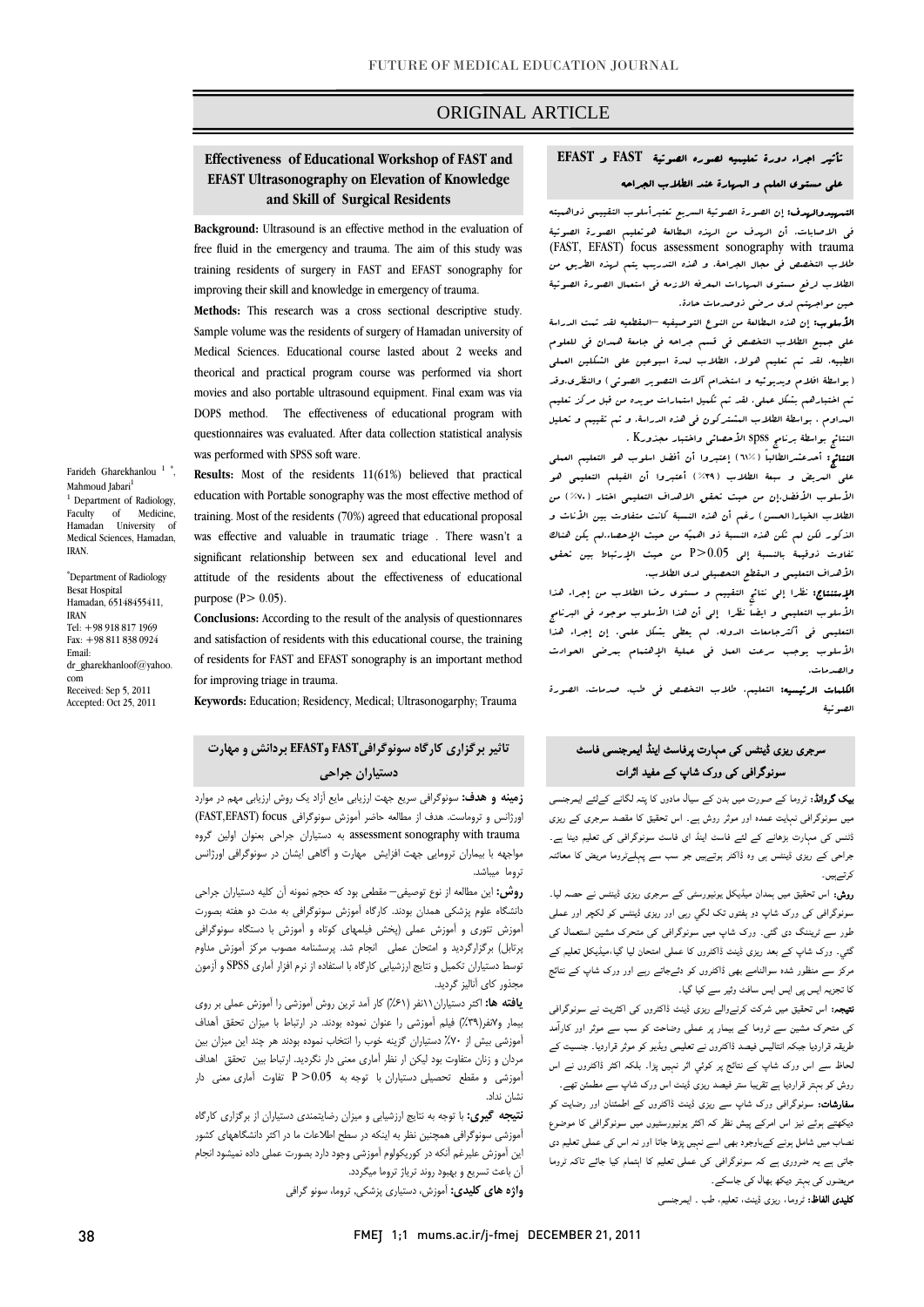### ORIGINAL ARTICLE

# تأثير اجراء دورة تعليميه لصوره الصوتية **FAST** و **EFAST** علي مستوي العلم و المهارة عند الطلاب الجراحه

Ī

 التمهيدوالهدف: إن الصورة الصوتية السريع تعتبرأسلوب التقييمي ذواهميته في الاصابات. أن الهدف من الهذه المطالعة هوتعليم الصورة الصوتية (FAST, EFAST) focus assessment sonography with trauma الطلاب لرفع مستوي المهارات المعرفه الازمه في استعمال الصورة الصوتية حين مواجهتم لدي مرضي ذوصدمات حادة. طلاب التخصص في مجال الجراحة. و هذه التدريب يتم لهذه الطريق من

 الأسلوب: إن هذه المطالعة من النوع التوصيفيه –المقطعيه لقد تمت الدراسة علي جميع الطلاب التخصص في قسم جراحه في جامعة همدان في للعلوم الطبيه. لقد تم تعليم هولاء الطلاب لمدة اسبوعين علي الشكلين العملي ً بواسطة افلام ويديونيه و استخدام آلات التصوير الصوتي) والنظرى.وقد<br>م المداوم ، بواسطة الطلاب المشتركون في هذه الدراسة. و تم تقييم و تحليل النتائج بواسطة برنامج spss الأحصائي واختبار مجذورK . تم اختبارهم بشكل عملي. لقد تم تكميل استمارات مويده من قبل مركز تعليم

 النتائج: أحدعشرالطالباً (61%) إعتبروا أن أفضل اسلوب هو التعليم العملي علي المريض و سبعة الطلاب (%39) أعتبروا أن الفيلم التعليمي هو الأسلوب الأفضل.إن من حيث تحقق الاهداف التعليمي اختار (%70) من الطلاب الخيار(العسن) رغم أن هذه النسبة كانت متفاوت بين الأناث و<br>. تفاوت ذوقيمة بالنسبة إلي 0.05<P من حيث الإرتباط بين تحقق الأهداف التعليمي و المقطع التحصيلي لدي الطلاب. الذكور لكن لم تكن هذه النسبة ذو اهميه من حيث الإحصاء.لم يكن هناك

 الإستنتاج: نظرا إلي نتائج التقييم و مستوي رضا الطلاب من إجراء هذا الأسلوب التعليمي و ايضاً نظرا إلي أن هذا الأسلوب موجود في البرنامج التعليمي في أكثرجامعات الدوله، لم يعطي بشكل علمي. إن إجراء هذا الأسلوب يوجب سرعت العمل في عملية الإهتمام بمرضي الحوادث والصدمات.

 الكلمات الرئيسيه: التعليم، طلاب التخصص في طب، صدمات، الصورة الصوتية

# سرجری ریزی ڈینٹس کی مہارت پرفاسٹ اینڈ ایمرجنسی فاسٹ سونوگرافی کی ورک شاپ کے مفید اثرات

بیک گروانڈ: ٹروما کے صورت میں بدن کے سیال مادوں کا پتہ لگانے کےلئے ایمرجنسی میں سونوگرافی نہایت عمدہ اور موثر روش ہے۔ اس تحقیق کا مقصد سرجری کے ریزی ڈٹنس کی مہارت بڑھانے کے لئے فاسٹ اینڈ ای فاسٹ سونوگرافی کی تعلیم دینا ہے۔ جراحی کے ریزی ڈینٹس ہی وہ ڈاکٹر ہوتےہیں جو سب سے پہلےٹروما مریض کا معائنہ کرتےہیں۔

روش: اس تحقیق میں ہمدان میڈیکل یونیورسٹی کے سرجری ریزی ڈینٹس نے حصہ لیا۔ سونوگرافی کی ورک شاپ دو ہفتوں تک لگي رہی اور ریزی ڈینٹس کو لکچر اور عملی طور سے ٹریننگ دی گئی۔ ورک شاپ میں سونوگرافی کی متحرک مشین استعمال کی گئي۔ ورک شاپ کے بعد ریزی ڈینٹ ڈاکٹروں کا عملی امتحان لیا گيا،میڈیکل تعلیم کے مرکز سے منظور شدہ سوالنامے بھی ڈاکٹروں کو دئےجاتے رہے اور ورک شاپ کے نتائج کا تجزیہ ایس پی ایس ایس سافٹ وئير سے کیا گيا۔

نتیجہ: اس تحقیق میں شرکت کرنےوالے ریزی ڈینٹ ڈاکٹروں کی اکثریت نے سونوگرافی کی متحرک مشین سے ٹروما کے بیمار پر عملی وضاحت کو سب سے موثر اور کارآمد طریقہ قراردیا جبکہ انتالیس فیصد ڈاکٹروں نے تعلیمی ویڈیو کو موثر قراردیا۔ جنسیت کے لحاظ سے اس ورک شاپ کے نتائج پر کوئي اثر نہیں پڑا۔ بلکہ اکثر ڈاکٹروں نے اس روش کو بہتر قراردیا ہے تقریبا ستر فیصد ریزی ڈینٹ اس ورک شاپ سے مطمئن تھے۔ سفارشات: سونوگرافی ورک شاپ سے ریزی ڈینٹ ڈاکٹروں کے اطمئنان اور رضایت کو

دیکھتے ہوئے نیز اس امرکے پیش نظر کہ اکثر یونیورسٹیوں میں سونوگرافی کا موضوع نصاب میں شامل ہونے کےباوجود بھی اسے نہیں پڑھا جاتا اور نہ اس کی عملی تعلیم دی جاتی ہے یہ ضروری ہے کہ سونوگرافی کی عملی تعلیم کا اہتمام کیا جائے تاکہ ٹروما مریضوں کی بہتر دیکھ بھال کی جاسکے۔

کلیدی الفاظ: ٹروما، ریزی ڈینٹ، تعلیم، طب ۔ ایمرجنسی

### **Effectiveness of Educational Workshop of FAST and EFAST Ultrasonography on Elevation of Knowledge and Skill of Surgical Residents**

**Background:** Ultrasound is an effective method in the evaluation of free fluid in the emergency and trauma. The aim of this study was training residents of surgery in FAST and EFAST sonography for improving their skill and knowledge in emergency of trauma.

**Methods:** This research was a cross sectional descriptive study. Sample volume was the residents of surgery of Hamadan university of Medical Sciences. Educational course lasted about 2 weeks and theorical and practical program course was performed via short movies and also portable ultrasound equipment. Final exam was via DOPS method. The effectiveness of educational program with questionnaires was evaluated. After data collection statistical analysis was performed with SPSS soft ware.

**Results:** Most of the residents 11(61%) believed that practical education with Portable sonography was the most effective method of training. Most of the residents (70%) agreed that educational proposal was effective and valuable in traumatic triage . There wasn't a significant relationship between sex and educational level and attitude of the residents about the effectiveness of educational purpose  $(P> 0.05)$ .

**Conclusions:** According to the result of the analysis of questionnares and satisfaction of residents with this educational course, the training of residents for FAST and EFAST sonography is an important method for improving triage in trauma.

**Keywords:** Education; Residency, Medical; Ultrasonogarphy; Trauma

# **تاثير برگزاري كارگاه سونوگرافيFAST وEFAST بردانش و مهارت دستياران جراحي**

 **زمينه و هدف:** سونوگرافي سريع جهت ارزيابي مايع آزاد يك روش ارزيابي مهم در موارد اورژانس و تروماست. هدف از مطالعه حاضر آموزش سونوگرافي focus) EFAST,FAST( trauma with sonography assessment به دستياران جراحي بعنوان اولين گروه مواجهه با بيماران ترومايي جهت افزايش مهارت و آگاهي ايشان در سونوگرافي اورژانس .<br>نوما مىباشد.

 **روش:** اين مطالعه از نوع توصيفي– مقطعي بود كه حجم نمونه آن كليه دستياران جراحي دانشگاه علوم پزشكي همدان بودند. كارگاه آموزش سونوگرافي به مدت دو هفته بصورت آموزش تئوري و آموزش عملي (پخش فيلمهاي كوتاه و آموزش با دستگاه سونوگرافي پرتابل) برگزارگرديد و امتحان عملي انجام شد. پرسشنامه مصوب مركز آموزش مداوم توسط دستياران تكميل و نتايج ارزشيابي كارگاه با استفاده از نرم افزار آماري SPSS و آزمون مجذور كاي آناليز گرديد.

 **يافته ها:** اكثر دستياران11نفر (%61) كار آمد ترين روش آموزشي را آموزش عملي بر روي بيمار و7نفر(%39) فيلم آموزشي را عنوان نموده بودند. در ارتباط با ميزان تحقق آهداف آموزشي بيش از %70 دستياران گزينه خوب را انتخاب نموده بودند هر چند اين ميزان بين مردان و زنان متفاوت بود ليكن ار نظر آماري معني دار نگرديد. ارتباط بين تحقق اهداف آموزشي و مقطع تحصيلي دستياران با توجه به 0.05< P تفاوت آماري معني دار نشان نداد.

 **نتيجه گيري:** با توجه به نتايج ارزشيابي و ميزان رضايتمندي دستياران از برگزاري كارگاه آموزشي سونوگرافي همچنين نظر به اينكه در سطح اطلاعات ما در اكثر دانشگاههاي كشور اين آموزش عليرغم آنكه در كوريكولوم آموزشي وجود دارد بصورت عملي داده نميشود انجام آن باعث تسريع و بهبود روند ترياژ تروما ميگردد.

**واژه هاي كليدي:** آموزش، دستياري پزشكي, تروما، سونو گرافي

Farideh Gharekhanlou<sup>1</sup>, Mahmoud Jabari<sup>1</sup> <sup>1</sup> Department of Radiology, Faculty of Medicine Hamadan University of Medical Sciences, Hamadan, IRAN.

\* Department of Radiology Besat Hospital Hamadan, 65148455411, IRAN Tel: +98 918 817 1969 Fax: +98 811 838 0924 Email: dr\_gharekhanloof@yahoo. com Received: Sep 5, 2011 Accepted: Oct 25, 2011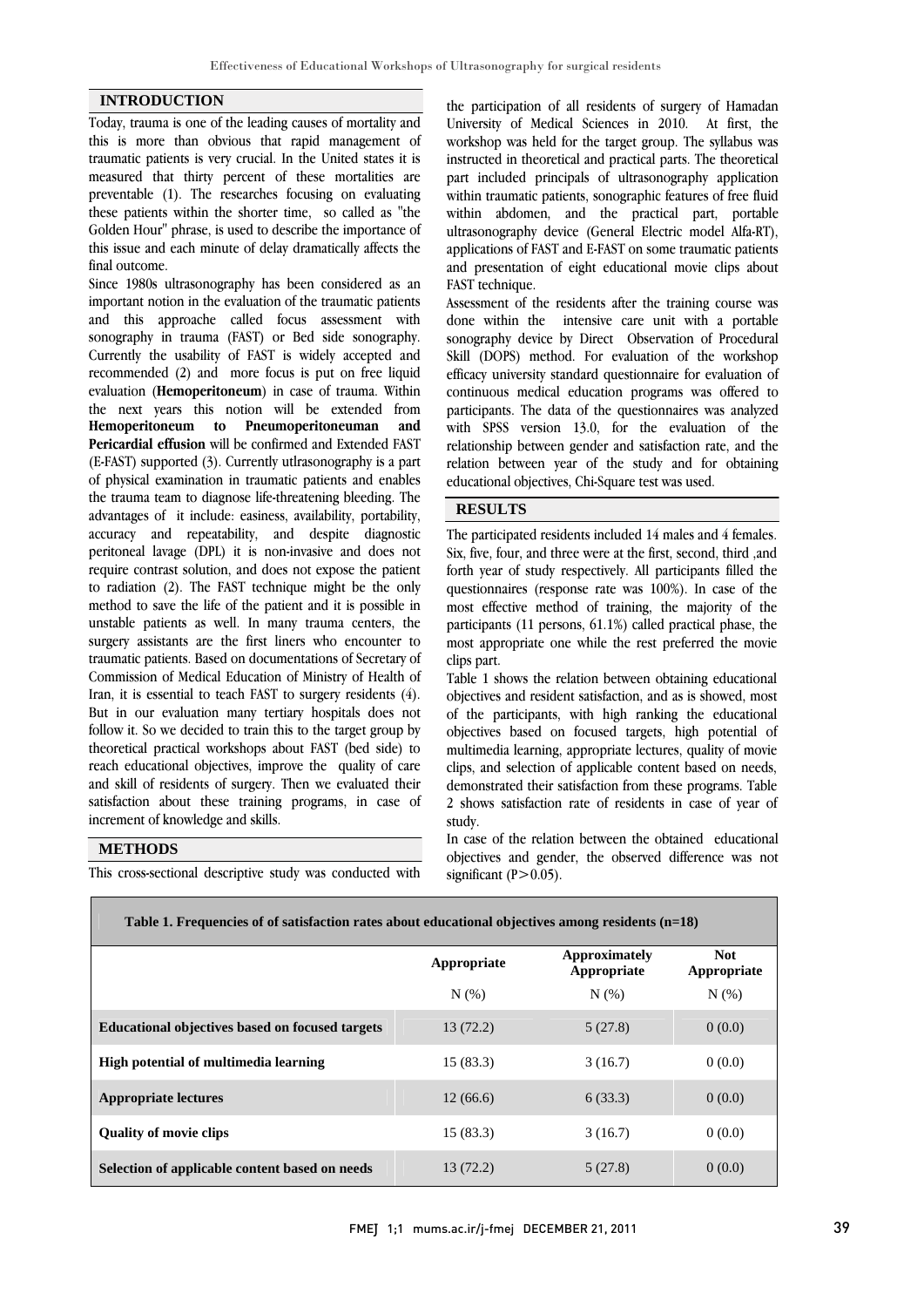#### **INTRODUCTION**

Today, trauma is one of the leading causes of mortality and this is more than obvious that rapid management of traumatic patients is very crucial. In the United states it is measured that thirty percent of these mortalities are preventable (1). The researches focusing on evaluating these patients within the shorter time, so called as "the Golden Hour" phrase, is used to describe the importance of this issue and each minute of delay dramatically affects the final outcome.

Since 1980s ultrasonography has been considered as an important notion in the evaluation of the traumatic patients and this approache called focus assessment with sonography in trauma (FAST) or Bed side sonography. Currently the usability of FAST is widely accepted and recommended (2) and more focus is put on free liquid evaluation (**Hemoperitoneum**) in case of trauma. Within the next years this notion will be extended from **Hemoperitoneum to Pneumoperitoneuman and Pericardial effusion** will be confirmed and Extended FAST (E-FAST) supported (3). Currently utlrasonography is a part of physical examination in traumatic patients and enables the trauma team to diagnose life-threatening bleeding. The advantages of it include: easiness, availability, portability, accuracy and repeatability, and despite diagnostic peritoneal lavage (DPL) it is non-invasive and does not require contrast solution, and does not expose the patient to radiation (2). The FAST technique might be the only method to save the life of the patient and it is possible in unstable patients as well. In many trauma centers, the surgery assistants are the first liners who encounter to traumatic patients. Based on documentations of Secretary of Commission of Medical Education of Ministry of Health of Iran, it is essential to teach FAST to surgery residents (4). But in our evaluation many tertiary hospitals does not follow it. So we decided to train this to the target group by theoretical practical workshops about FAST (bed side) to reach educational objectives, improve the quality of care and skill of residents of surgery. Then we evaluated their satisfaction about these training programs, in case of increment of knowledge and skills.

### **METHODS**

This cross-sectional descriptive study was conducted with

 the participation of all residents of surgery of Hamadan University of Medical Sciences in 2010. At first, the workshop was held for the target group. The syllabus was instructed in theoretical and practical parts. The theoretical part metaded principals or didustors expansion approaches within traumatic patients, sonographic features of free fluid within abdomen, and the practical part, portable ultrasonography device (General Electric model Alfa-RT), applications of FAST and E-FAST on some traumatic patients FAST technique. part included principals of ultrasonography application and presentation of eight educational movie clips about

 Assessment of the residents after the training course was done within the intensive care unit with a portable sonography device by Direct Observation of Procedural efficacy university standard questionnaire for evaluation of continuous medical education programs was offered to participants. The data of the questionnaires was analyzed with SPSS version 13.0, for the evaluation of the relation between year of the study and for obtaining educational objectives, Chi-Square test was used. Skill (DOPS) method. For evaluation of the workshop relationship between gender and satisfaction rate, and the

# **RESULTS**

 The participated residents included 14 males and 4 females. Six, five, four, and three were at the first, second, third ,and forth year of study respectively. All participants filled the questionnaires (response rate was 100%). In case of the most effective method of training, the majority of the most appropriate one while the rest preferred the movie clips part. participants (11 persons, 61.1%) called practical phase, the

 Table 1 shows the relation between obtaining educational objectives and resident satisfaction, and as is showed, most objectives based on focused targets, high potential of multimedia learning, appropriate lectures, quality of movie clips, and selection of applicable content based on needs, demonstrated their satisfaction from these programs. Table study. of the participants, with high ranking the educational 2 shows satisfaction rate of residents in case of year of

 In case of the relation between the obtained educational objectives and gender, the observed difference was not significant  $(P>0.05)$ .

| Table 1. Frequencies of of satisfaction rates about educational objectives among residents (n=18) |             |                                     |                           |  |  |  |  |
|---------------------------------------------------------------------------------------------------|-------------|-------------------------------------|---------------------------|--|--|--|--|
|                                                                                                   | Appropriate | <b>Approximately</b><br>Appropriate | <b>Not</b><br>Appropriate |  |  |  |  |
|                                                                                                   | N(% )       | N(%                                 | N(%                       |  |  |  |  |
| <b>Educational objectives based on focused targets</b>                                            | 13(72.2)    | 5(27.8)                             | 0(0.0)                    |  |  |  |  |
| High potential of multimedia learning                                                             | 15(83.3)    | 3(16.7)                             | 0(0.0)                    |  |  |  |  |
| <b>Appropriate lectures</b>                                                                       | 12(66.6)    | 6(33.3)                             | 0(0.0)                    |  |  |  |  |
| <b>Ouality of movie clips</b>                                                                     | 15(83.3)    | 3(16.7)                             | 0(0.0)                    |  |  |  |  |
| Selection of applicable content based on needs                                                    | 13(72.2)    | 5(27.8)                             | 0(0.0)                    |  |  |  |  |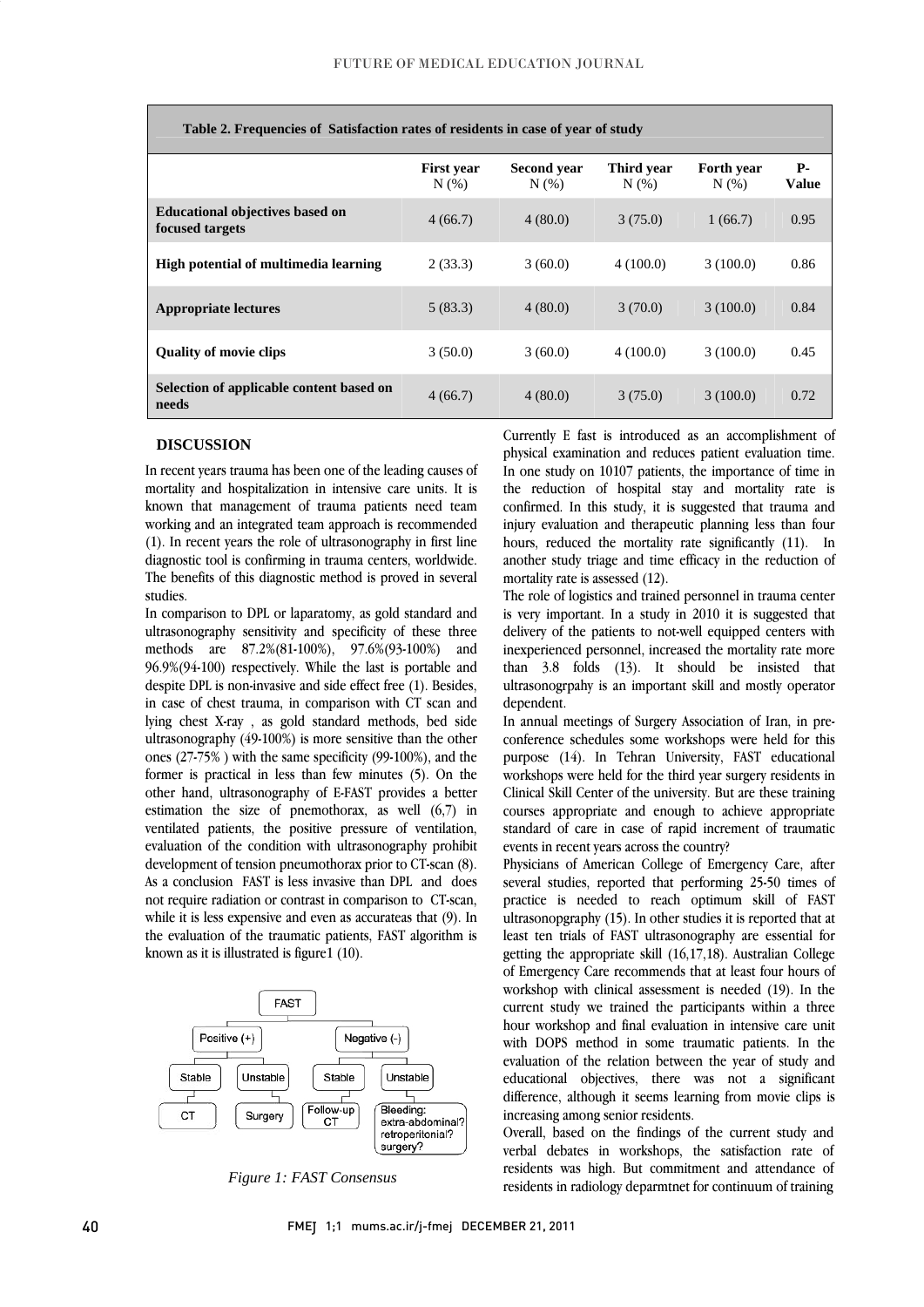l

| Table 2. Frequencies of Satisfaction rates of residents in case of year of study |                              |                        |                     |                              |                            |  |  |
|----------------------------------------------------------------------------------|------------------------------|------------------------|---------------------|------------------------------|----------------------------|--|--|
|                                                                                  | <b>First year</b><br>$N(\%)$ | Second year<br>$N(\%)$ | Third vear<br>N(% ) | <b>Forth year</b><br>$N(\%)$ | <b>P</b> -<br><b>Value</b> |  |  |
| <b>Educational objectives based on</b><br>focused targets                        | 4(66.7)                      | 4(80.0)                | 3(75.0)             | 1(66.7)                      | 0.95                       |  |  |
| High potential of multimedia learning                                            | 2(33.3)                      | 3(60.0)                | 4(100.0)            | 3(100.0)                     | 0.86                       |  |  |
| <b>Appropriate lectures</b>                                                      | 5(83.3)                      | 4(80.0)                | 3(70.0)             | 3(100.0)                     | 0.84                       |  |  |
| <b>Quality of movie clips</b>                                                    | 3(50.0)                      | 3(60.0)                | 4(100.0)            | 3(100.0)                     | 0.45                       |  |  |
| Selection of applicable content based on<br>needs                                | 4(66.7)                      | 4(80.0)                | 3(75.0)             | 3(100.0)                     | 0.72                       |  |  |

**DISCUSSION**

m recent years tradina has been one or the leading causes of mortality and hospitalization in intensive care units. It is known that management of trauma patients need team working and an integrated team approach is recommended (1). In recent years the role of ultrasonography in first line The benefits of this diagnostic method is proved in several In recent years trauma has been one of the leading causes of diagnostic tool is confirming in trauma centers, worldwide. studies.

 In comparison to DPL or laparatomy, as gold standard and ultrasonography sensitivity and specificity of these three  $96.9\%/94-100$ ) respectively. While the last is portable and despite DPL is non-invasive and side effect free (1). Besides, in case of chest trauma, in comparison with CT scan and lying chest X-ray , as gold standard methods, bed side ones  $(27-75%)$  with the same specificity  $(99-100%)$ , and the former is practical in less than few minutes (5). On the other hand, ultrasonography of E-FAST provides a better estimation the size of pnemothorax, as well (6,7) in evaluation of the condition with ultrasonography prohibit development of tension pneumothorax prior to CT-scan (8). As a conclusion FAST is less invasive than DPL and does not require radiation or contrast in comparison to CT-scan, while it is reso expensive and even as accurated that  $(y)$ . In the evaluation of the traumatic patients, FAST algorithm is methods are 87.2%(81-100%), 97.6%(93-100%) and ultrasonography (49-100%) is more sensitive than the other ventilated patients, the positive pressure of ventilation, while it is less expensive and even as accurateas that (9). In known as it is illustrated is figure1 (10).



*Figure 1: FAST Consensus*

 Currently E fast is introduced as an accomplishment of physical examination and reduces patient evaluation time. the reduction of hospital stay and mortality rate is confirmed. In this study, it is suggested that trauma and injury evaluation and therapeutic planning less than four hours, reduced the mortality rate significantly (11). In another study triage and time efficacy in the reduction of In one study on 10107 patients, the importance of time in mortality rate is assessed (12).

֦

 The role of logistics and trained personnel in trauma center is very important. In a study in 2010 it is suggested that delivery of the patients to not-well equipped centers with than 3.8 folds (13). It should be insisted that ultrasonogrpahy is an important skill and mostly operator inexperienced personnel, increased the mortality rate more dependent.

 In annual meetings of Surgery Association of Iran, in pre- purpose (14). In Tehran University, FAST educational workshops were held for the third year surgery residents in Clinical Skill Center of the university. But are these training courses appropriate and enough to achieve appropriate standard of care in case of rapid increment of traumatic conference schedules some workshops were held for this events in recent years across the country?

 Physicians of American College of Emergency Care, after several studies, reported that performing 25-50 times of practice is needed to reach optimum skill of FAST least ten trials of FAST ultrasonography are essential for getting the appropriate skill  $(16,17,18)$ . Australian College of Emergency Care recommends that at least four hours of workshop with clinical assessment is needed (19). In the hour workshop and final evaluation in intensive care unit with DOPS method in some traumatic patients. In the evaluation of the relation between the year of study and educational objectives, there was not a significant difference, although it seems learning from movie clips is ultrasonopgraphy (15). In other studies it is reported that at current study we trained the participants within a three increasing among senior residents.

 Overall, based on the findings of the current study and verbal debates in workshops, the satisfaction rate of residents was high. But commitment and attendance of residents in radiology deparmtnet for continuum of training